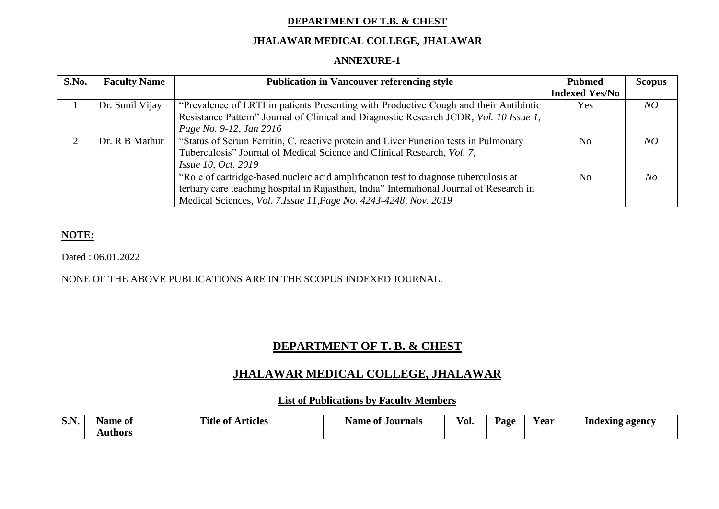#### **DEPARTMENT OF T.B. & CHEST**

#### **JHALAWAR MEDICAL COLLEGE, JHALAWAR**

#### **ANNEXURE-1**

| S.No. | <b>Faculty Name</b> | <b>Publication in Vancouver referencing style</b>                                         | <b>Pubmed</b>         | <b>Scopus</b>  |
|-------|---------------------|-------------------------------------------------------------------------------------------|-----------------------|----------------|
|       |                     |                                                                                           | <b>Indexed Yes/No</b> |                |
|       | Dr. Sunil Vijay     | "Prevalence of LRTI in patients Presenting with Productive Cough and their Antibiotic     | <b>Yes</b>            | NO             |
|       |                     | Resistance Pattern" Journal of Clinical and Diagnostic Research JCDR, Vol. 10 Issue 1,    |                       |                |
|       |                     | Page No. 9-12, Jan 2016                                                                   |                       |                |
|       | Dr. R B Mathur      | "Status of Serum Ferritin, C. reactive protein and Liver Function tests in Pulmonary      | N <sub>o</sub>        | NO             |
|       |                     | Tuberculosis" Journal of Medical Science and Clinical Research, Vol. 7,                   |                       |                |
|       |                     | <i>Issue 10, Oct. 2019</i>                                                                |                       |                |
|       |                     | "Role of cartridge-based nucleic acid amplification test to diagnose tuberculosis at      | No                    | N <sub>O</sub> |
|       |                     | tertiary care teaching hospital in Rajasthan, India" International Journal of Research in |                       |                |
|       |                     | Medical Sciences, <i>Vol. 7, Issue 11, Page No. 4243-4248, Nov. 2019</i>                  |                       |                |

### **NOTE:**

Dated : 06.01.2022

#### NONE OF THE ABOVE PUBLICATIONS ARE IN THE SCOPUS INDEXED JOURNAL.

# **DEPARTMENT OF T. B. & CHEST**

## **JHALAWAR MEDICAL COLLEGE, JHALAWAR**

#### **List of Publications by Faculty Members**

| <b>DIT.</b> | Name of | Title of<br><b>Articles</b> | Name of Journals | $\mathbf{r}$<br>VOI. | Page | r ear | Indexing agency |
|-------------|---------|-----------------------------|------------------|----------------------|------|-------|-----------------|
|             | Authors |                             |                  |                      |      |       |                 |